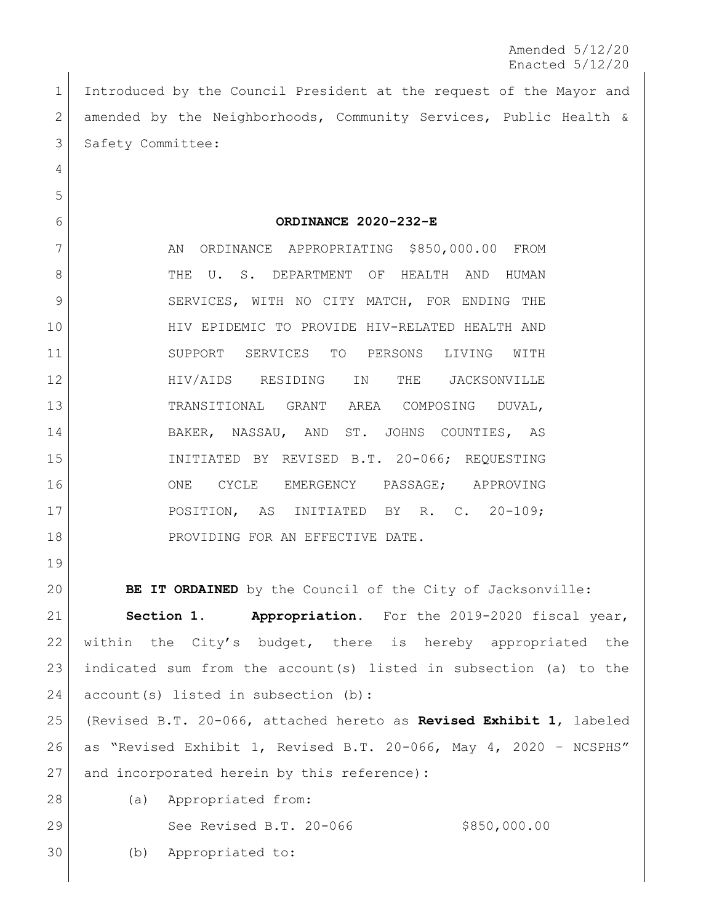Amended 5/12/20 Enacted 5/12/20

 Introduced by the Council President at the request of the Mayor and amended by the Neighborhoods, Community Services, Public Health & 3 Safety Committee:

## **ORDINANCE 2020-232-E**

7 AN ORDINANCE APPROPRIATING \$850,000.00 FROM 8 THE U. S. DEPARTMENT OF HEALTH AND HUMAN 9 SERVICES, WITH NO CITY MATCH, FOR ENDING THE HIV EPIDEMIC TO PROVIDE HIV-RELATED HEALTH AND SUPPORT SERVICES TO PERSONS LIVING WITH HIV/AIDS RESIDING IN THE JACKSONVILLE TRANSITIONAL GRANT AREA COMPOSING DUVAL, BAKER, NASSAU, AND ST. JOHNS COUNTIES, AS INITIATED BY REVISED B.T. 20-066; REQUESTING 16 ONE CYCLE EMERGENCY PASSAGE; APPROVING POSITION, AS INITIATED BY R. C. 20-109; 18 PROVIDING FOR AN EFFECTIVE DATE.

 **BE IT ORDAINED** by the Council of the City of Jacksonville: **Section 1. Appropriation.** For the 2019-2020 fiscal year, within the City's budget, there is hereby appropriated the indicated sum from the account(s) listed in subsection (a) to the 24 account(s) listed in subsection (b): (Revised B.T. 20-066, attached hereto as **Revised Exhibit 1**, labeled as "Revised Exhibit 1, Revised B.T. 20-066, May 4, 2020 – NCSPHS"

- and incorporated herein by this reference)**:**
- (a) Appropriated from:

29 See Revised B.T. 20-066 \$850,000.00

(b) Appropriated to: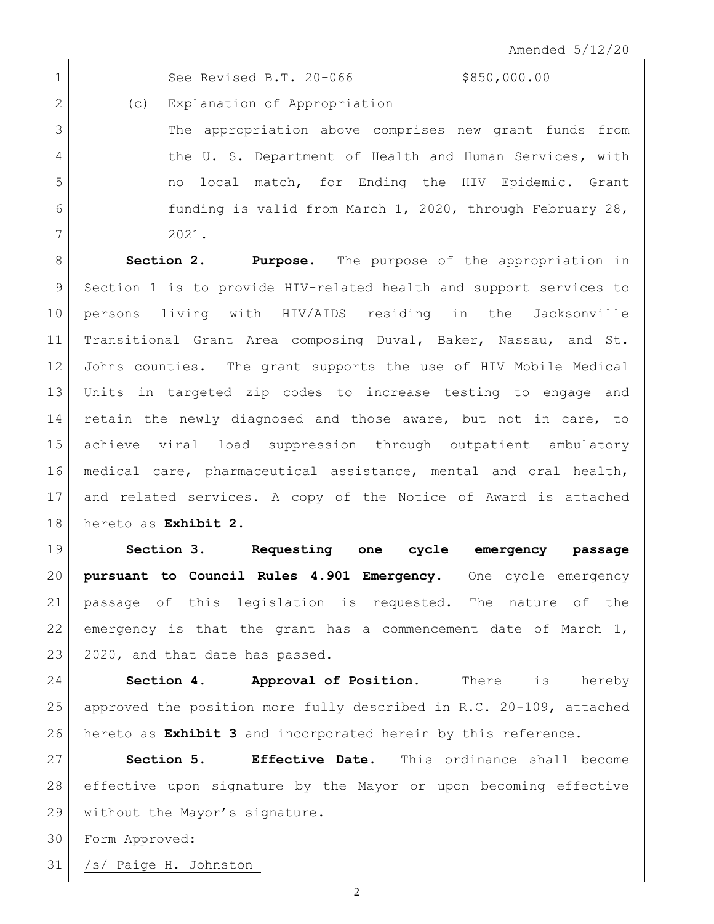1 See Revised B.T. 20-066 \$850,000.00

2 (c) Explanation of Appropriation

 The appropriation above comprises new grant funds from 4 the U. S. Department of Health and Human Services, with 5 | The no local match, for Ending the HIV Epidemic. Grant **funding is valid from March 1, 2020, through February 28,** 2021.

 **Section 2. Purpose**. The purpose of the appropriation in Section 1 is to provide HIV-related health and support services to persons living with HIV/AIDS residing in the Jacksonville Transitional Grant Area composing Duval, Baker, Nassau, and St. Johns counties. The grant supports the use of HIV Mobile Medical Units in targeted zip codes to increase testing to engage and retain the newly diagnosed and those aware, but not in care, to achieve viral load suppression through outpatient ambulatory medical care, pharmaceutical assistance, mental and oral health, and related services. A copy of the Notice of Award is attached hereto as **Exhibit 2**.

 **Section 3. Requesting one cycle emergency passage pursuant to Council Rules 4.901 Emergency.** One cycle emergency passage of this legislation is requested. The nature of the 22 emergency is that the grant has a commencement date of March , 23 2020, and that date has passed.

 **Section 4. Approval of Position.** There is hereby approved the position more fully described in R.C. 20-109, attached hereto as **Exhibit 3** and incorporated herein by this reference.

 **Section 5. Effective Date.** This ordinance shall become effective upon signature by the Mayor or upon becoming effective 29 without the Mayor's signature.

Form Approved:

/s/ Paige H. Johnston\_